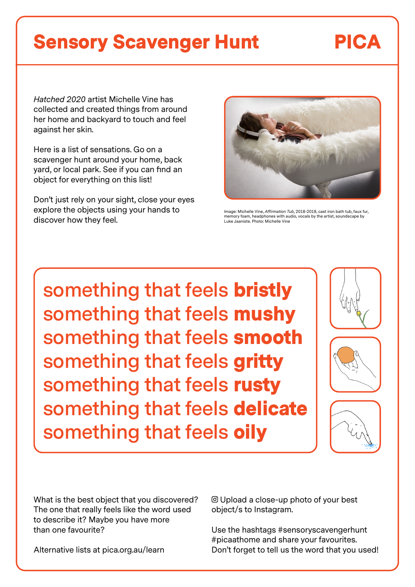# Sensory Scavenger Hunt PICA

*Hatched 2020* artist Michelle Vine has collected and created things from around her home and backyard to touch and feel against her skin.

Here is a list of sensations. Go on a scavenger hunt around your home, back yard, or local park. See if you can find an object for everything on this list!

Don't just rely on your sight, close your eyes explore the objects using your hands to discover how they feel.



Image: Michelle Vine, *Affirmation Tub*, 2018-2019, cast iron bath tub, faux fur, memory foam, headphones with audio, vocals by the artist, soundscape by Luke Jaaniste. Photo: Michelle Vine

**something that feels** bristly **something that feels** mushy **something that feels** smooth **something that feels** gritty **something that feels** rusty **something that feels** delicate **something that feels** oily







What is the best object that you discovered? The one that really feels like the word used to describe it? Maybe you have more than one favourite?

Alternative lists at pica.org.au/learn

 Upload a close-up photo of your best object/s to Instagram.

Use the hashtags #sensoryscavengerhunt #picaathome and share your favourites. Don't forget to tell us the word that you used!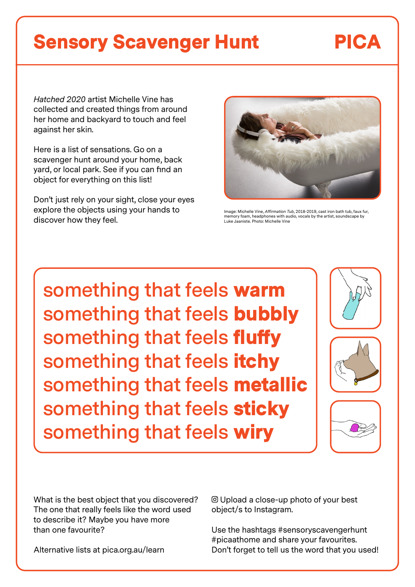# Sensory Scavenger Hunt PICA

*Hatched 2020* artist Michelle Vine has collected and created things from around her home and backyard to touch and feel against her skin.

Here is a list of sensations. Go on a scavenger hunt around your home, back yard, or local park. See if you can find an object for everything on this list!

Don't just rely on your sight, close your eyes explore the objects using your hands to discover how they feel.



Image: Michelle Vine, *Affirmation Tub*, 2018-2019, cast iron bath tub, faux fur, memory foam, headphones with audio, vocals by the artist, soundscape by Luke Jaaniste. Photo: Michelle Vine

**something that feels** warm **something that feels** bubbly **something that feels** fluffy **something that feels** itchy **something that feels** metallic **something that feels** sticky **something that feels** wiry







What is the best object that you discovered? The one that really feels like the word used to describe it? Maybe you have more than one favourite?

Alternative lists at pica.org.au/learn

 Upload a close-up photo of your best object/s to Instagram.

Use the hashtags #sensoryscavengerhunt #picaathome and share your favourites. Don't forget to tell us the word that you used!